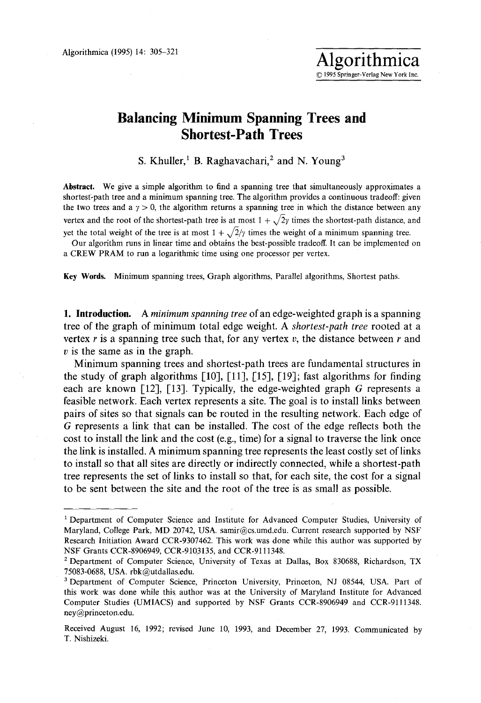S. Khuller,<sup>1</sup> B. Raghavachari,<sup>2</sup> and N. Young<sup>3</sup>

**Abstract.** We give a simple algorithm to find a spanning tree that simultaneously approximates a shortest-path tree and a minimum spanning tree. The algorithm provides a continuous tradeoff: given the two trees and a  $\gamma > 0$ , the algorithm returns a spanning tree in which the distance between any vertex and the root of the shortest-path tree is at most  $1 + \sqrt{2}\gamma$  times the shortest-path distance, and yet the total weight of the tree is at most  $1 + \sqrt{2/\gamma}$  times the weight of a minimum spanning tree.

Our algorithm runs in linear time and obtains the best-possible tradeoff. It can be implemented on a CREW PRAM to run a logarithmic time using one processor per vertex.

Key Words. Minimum spanning trees, Graph algorithms, Parallel algorithms, Shortest paths.

1. Introduction. A *minimum spanning tree* of an edge-weighted graph is a spanning tree of the graph of minimum total edge weight. *A shortest-path tree* rooted at a vertex  $r$  is a spanning tree such that, for any vertex  $v$ , the distance between  $r$  and  $v$  is the same as in the graph.

Minimum spanning trees and shortest-path trees are fundamental structures in the study of graph algorithms  $[10]$ ,  $[11]$ ,  $[15]$ ,  $[19]$ ; fast algorithms for finding each are known [12], [13]. Typically, the edge-weighted graph G represents a feasible network. Each vertex represents a site. The goal is to install links between pairs of sites so that signals can be routed in the resulting network. Each edge of G represents a link that can be installed. The cost of the edge reflects both the cost to install the link and the cost (e.g., time) for a signal to traverse the link once the link is installed. A minimum spanning tree represents the least costly set of links to install so that all sites are directly or indirectly connected, while a shortest-path tree represents the set of links to install so that, for each site, the cost for a signal to be sent between the site and the root of the tree is as small as possible.

<sup>1</sup> Department of Computer Science and Institute for Advanced Computer Studies, University of Maryland, College Park, MD 20742, USA. samir@cs.umd.edu. Current research supported by NSF Research Initiation Award CCR-9307462. This work was done while this author was supported by NSF Grants CCR-8906949, CCR-9103135, and CCR-9111348.

<sup>2</sup> Department of Computer Science, University of Texas at Dallas, Box 830688, Richardson, TX 75083-0688, USA. rbk@utdallas.edu.

<sup>3</sup> Department of Computer Science, Princeton University, Princeton, NJ 08544, USA. Part of this work was done while this author was at the University of Maryland Institute for Advanced Computer Studies (UMIACS) and supported by NSF Grants CCR-8906949 and CCR-9111348. ney@princeton.edu.

Received August 16, 1992; revised June 10, 1993, and December 27, 1993. Communicated by T. Nishizeki.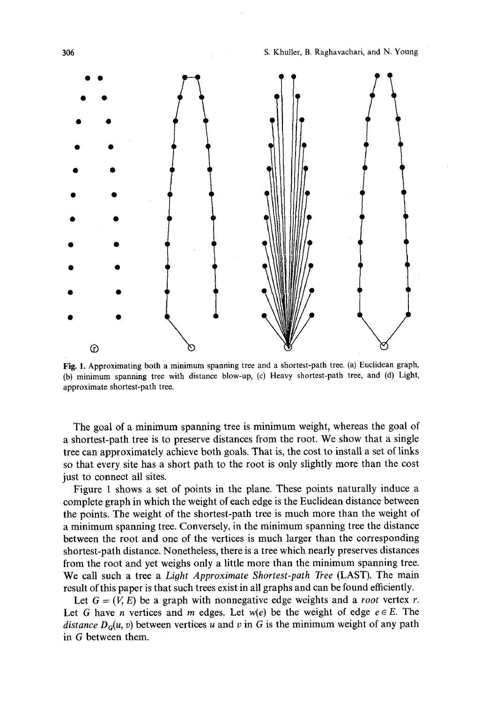

Fig. 1. Approximating both a minimum spanning tree and a shortest-path tree. (a) Euclidean graph, (b) minimum spanning tree with distance blow-up, (c) Heavy shortest-path tree, and (d) Light, approximate shortest-path tree.

The goal of a minimum spanning tree is minimum weight, whereas the goal of a shortest-path tree is to preserve distances from the root. We show that a single tree can approximately achieve both goals. That is, the cost to install a set of links so that every site has a short path to the root is only slightly more than the cost just to connect all sites.

Figure 1 shows a set of points in the plane. These points naturally induce a complete graph in which the weight of each edge is the Euclidean distance between the points. The weight of the shortest-path tree is much more than the weight of a minimum spanning tree. Conversely, in the minimum spanning tree the distance between the root and one of the vertices is much larger than the corresponding shortest-path distance. Nonetheless, there is a tree which nearly preserves distances from the root and yet weighs only a little more than the minimum spanning tree. We call such a tree a *Light Approximate Shortest-path Tree* (LAST). The main result of this paper is that such trees exist in all graphs and can be found efficiently.

Let  $G = (V, E)$  be a graph with nonnegative edge weights and a *root* vertex *r*. Let G have *n* vertices and *m* edges. Let  $w(e)$  be the weight of edge  $e \in E$ . The *distance*  $D_G(u, v)$  between vertices u and v in G is the minimum weight of any path in G between them.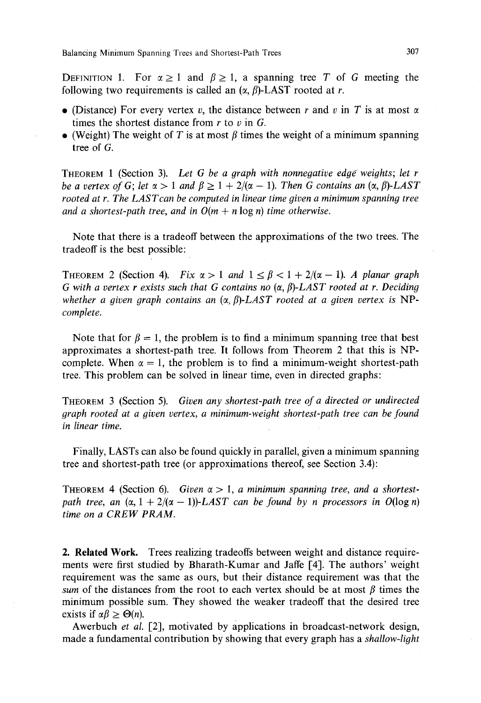DEFINITION 1. For  $\alpha \ge 1$  and  $\beta \ge 1$ , a spanning tree T of G meeting the following two requirements is called an  $(\alpha, \beta)$ -LAST rooted at r.

- (Distance) For every vertex v, the distance between r and v in T is at most  $\alpha$ times the shortest distance from  $r$  to  $v$  in  $G$ .
- (Weight) The weight of T is at most  $\beta$  times the weight of a minimum spanning tree of G.

THEOREM 1 (Section 3). *Let G be a graph with nonnegative edge weights; let r be a vertex of G; let*  $\alpha > 1$  *and*  $\beta \geq 1 + \frac{2}{\alpha - 1}$ *. Then G contains an*  $(\alpha, \beta)$ -*LAST rooted at r. The LASTcan be computed in linear time given a minimum spanning tree and a shortest-path tree, and in O(m + n* log *n) time otherwise.* 

Note that there is a tradeoff between the approximations of the two trees. The tradeoff is the best possible:

THEOREM 2 (Section 4). *Fix*  $\alpha > 1$  and  $1 \leq \beta < 1 + 2/(\alpha - 1)$ . *A planar graph G* with a vertex *r* exists such that *G* contains no  $(\alpha, \beta)$ -LAST rooted at *r*. Deciding *whether a given graph contains an*  $(\alpha, \beta)$ -*LAST rooted at a given vertex is* NP*complete.* 

Note that for  $\beta = 1$ , the problem is to find a minimum spanning tree that best approximates a shortest-path tree. It follows from Theorem 2 that this is NPcomplete. When  $\alpha = 1$ , the problem is to find a minimum-weight shortest-path tree. This problem can be solved in linear time, even in directed graphs:

THEOREM 3 (Section 5). *Given any shortest-path tree of a directed or undirected graph rooted at a given vertex, a minimum-weight shortest-path tree can be found in linear time.* 

Finally, LASTs can also be found quickly in parallel, given a minimum spanning tree and shortest-path tree (or approximations thereof, see Section 3.4):

THEOREM 4 (Section 6). Given  $\alpha > 1$ , *a minimum spanning tree, and a shortestpath tree, an*  $(\alpha, 1 + 2/(\alpha - 1))$ -*LAST can be found by n processors in O*(log *n*) *time on a CREW PRAM.* 

2. **Related Work.** Trees realizing tradeoffs between weight and distance requirements were first studied by Bharath-Kumar and Jaffe [4]. The authors' weight requirement was the same as ours, but their distance requirement was that the *sum* of the distances from the root to each vertex should be at most  $\beta$  times the minimum possible sum. They showed the weaker tradeoff that the desired tree exists if  $\alpha \beta \ge \Theta(n)$ .

Awerbuch *et al.* [2], motivated by applications in broadcast-network design, made a fundamental contribution by showing that every graph has a *shallow-light*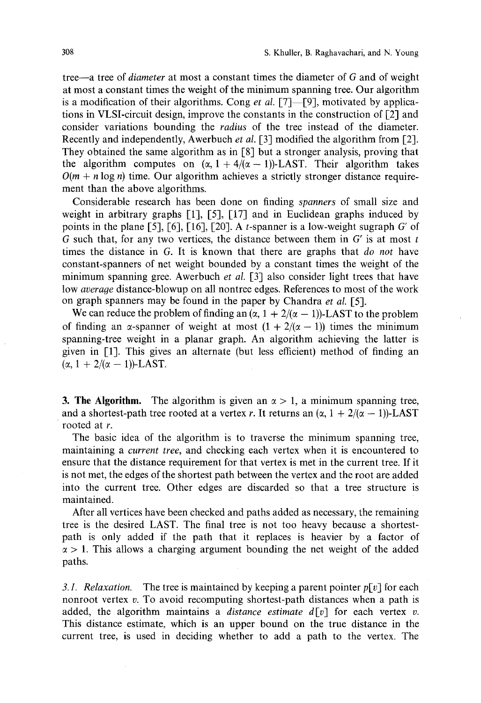tree--a tree of *diameter* at most a constant times the diameter of G and of weight at most a constant times the weight of the minimum spanning tree. Our algorithm is a modification of their algorithms. Cong *et al.* [7]—[9], motivated by applications in VLSI-circuit design, improve the constants in the construction of  $\lceil 2 \rceil$  and consider variations bounding the *radius* of the tree instead of the diameter. Recently and independently, Awerbuch *et al.* [3] modified the algorithm from [2]. They obtained the same algorithm as in [8] but a stronger analysis, proving that the algorithm computes on  $(\alpha, 1 + 4/(\alpha - 1))$ -LAST. Their algorithm takes  $O(m + n \log n)$  time. Our algorithm achieves a strictly stronger distance requirement than the above algorithms.

Considerable research has been done on finding *spanners* of small size and weight in arbitrary graphs [1], [5], [17] and in Euclidean graphs induced by points in the plane [5], [6], [16], [20]. A *t*-spanner is a low-weight sugraph  $G'$  of G such that, for any two vertices, the distance between them in  $G'$  is at most  $t$ times the distance in G. It is known that there are graphs that *do not* have constant-spanners of net weight bounded by a constant times the weight of the minimum spanning gree. Awerbuch *et al.* [3] also consider light trees that have low *average* distance-blowup on all nontree edges. References to most of the work on graph spanners may be found in the paper by Chandra *et al.* [5].

We can reduce the problem of finding an  $(\alpha, 1 + 2/(\alpha - 1))$ -LAST to the problem of finding an  $\alpha$ -spanner of weight at most  $(1 + 2/(\alpha - 1))$  times the minimum spanning-tree weight in a planar graph. An algorithm achieving the latter is given in [1]. This gives an alternate (but less efficient) method of finding an  $(\alpha, 1 + 2/(\alpha - 1))$ -LAST.

**3. The Algorithm.** The algorithm is given an  $\alpha > 1$ , a minimum spanning tree, and a shortest-path tree rooted at a vertex r. It returns an  $(\alpha, 1 + 2/(\alpha - 1))$ -LAST rooted at r.

The basic idea of the algorithm is to traverse the minimum spanning tree, maintaining a *current tree,* and checking each vertex when it is encountered to ensure that the distance requirement for that vertex is met in the current tree. If it is not met, the edges of the shortest path between the vertex and the root are added into the current tree. Other edges are discarded so that a tree structure is maintained.

After all vertices have been checked and paths added as necessary, the remaining tree is the desired LAST. The final tree is not too heavy because a shortestpath is only added if the path that it replaces is heavier by a factor of  $\alpha > 1$ . This allows a charging argument bounding the net weight of the added paths.

*3.1. Relaxation.* The tree is maintained by keeping a parent pointer *p[v]* for each nonroot vertex v. To avoid recomputing shortest-path distances when a path is added, the algorithm maintains a *distance estimate*  $d[v]$  for each vertex v. This distance estimate, which is an upper bound on the true distance in the current tree, is used in deciding whether to add a path to the vertex. The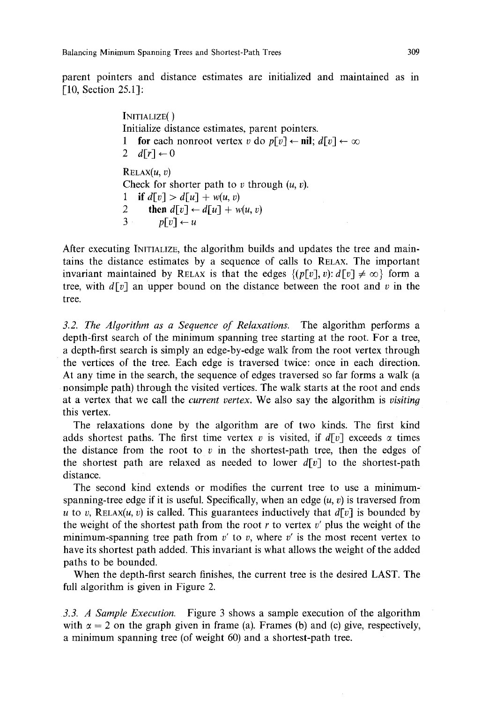parent pointers and distance estimates are initialized and maintained as in [10, Section 25.1]:

> INITIALIZE( ) Initialize distance estimates, parent pointers. 1 for each nonroot vertex v do  $p[v] \leftarrow \textbf{nil}$ ;  $d[v] \leftarrow \infty$ 2  $d[r] \leftarrow 0$  $RELAX(u, v)$ Check for shorter path to v through  $(u, v)$ . **1** if  $d[v] > d[u] + w(u, v)$ 2 **then**  $d[v] \leftarrow d[u] + w(u, v)$ 3  $p[v] \leftarrow u$

After executing INITIALIZE, the algorithm builds and updates the tree and maintains the distance estimates by a sequence of calls to RELAX. The important invariant maintained by RELAX is that the edges  $\{(p[v], v): d[v] \neq \infty\}$  form a tree, with  $d\lceil v \rceil$  an upper bound on the distance between the root and v in the tree.

*3.2. The Algorithm as a Sequence of Relaxations.* The algorithm performs a depth-first search of the minimum spanning tree starting at the root. For a tree, a depth-first search is simply an edge-by-edge walk from the root vertex through the vertices of the tree. Each edge is traversed twice: once in each direction. At any time in the search, the sequence of edges traversed so far forms a walk (a nonsimple path) through the visited vertices. The walk starts at the root and ends at a vertex that we call the *current vertex.* We also say the algorithm is *visiting*  this vertex.

The relaxations done by the algorithm are of two kinds: The first kind adds shortest paths. The first time vertex v is visited, if  $d[v]$  exceeds  $\alpha$  times the distance from the root to  $v$  in the shortest-path tree, then the edges of the shortest path are relaxed as needed to lower *d[v]* to the shortest-path distance.

The second kind extends or modifies the current tree to use a minimumspanning-tree edge if it is useful. Specifically, when an edge  $(u, v)$  is traversed from u to v, RELAX(u, v) is called. This guarantees inductively that  $d[v]$  is bounded by the weight of the shortest path from the root  $r$  to vertex  $v'$  plus the weight of the minimum-spanning tree path from  $v'$  to  $v$ , where  $v'$  is the most recent vertex to have its shortest path added. This invariant is what allows the weight of the added paths to be bounded.

When the depth-first search finishes, the current tree is the desired LAST. The full algorithm is given in Figure 2.

*3.3. A Sample Execution.* Figure 3 shows a sample execution of the algorithm with  $\alpha = 2$  on the graph given in frame (a). Frames (b) and (c) give, respectively, a minimum spanning tree (of weight 60) and a shortest-path tree.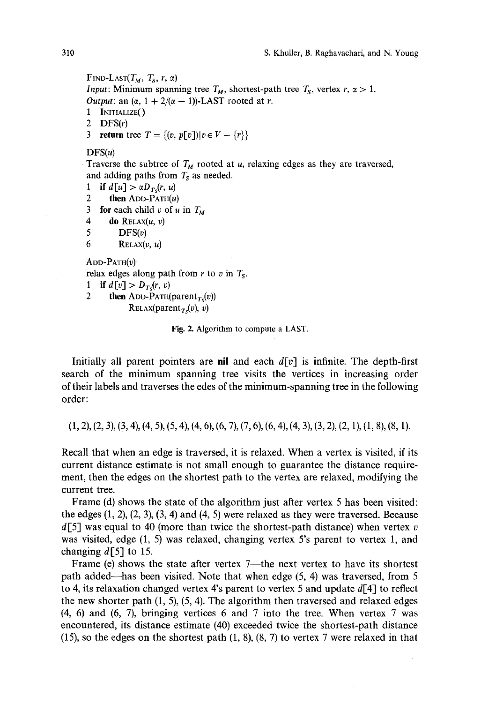FIND-LAST $(T_M, T_S, r, \alpha)$ *Input:* Minimum spanning tree  $T_M$ , shortest-path tree  $T_S$ , vertex  $r, \alpha > 1$ . *Output:* an  $(\alpha, 1 + 2/(\alpha - 1))$ -LAST rooted at r. 1 INITIALIZE( ) 2  $DFS(r)$ 3 **return** tree  $T = \{(v, p[v]) | v \in V - \{r\}\}\$ 

## $DFS(u)$

Traverse the subtree of  $T_M$  rooted at u, relaxing edges as they are traversed, and adding paths from *Ts* as needed.

1 if  $d[u] > \alpha D_{T_s}(r, u)$ 

2 then ADD-PATH(u)

3 for each child v of u in  $T_M$ 

4 **do**  $\text{RELAX}(u, v)$ 

5  $DFS(v)$ 

6 RELAX $(v, u)$ 

 $ADD-PATH(v)$ 

relax edges along path from  $r$  to  $v$  in  $T_s$ .

**1** if  $d[v] > D_{T_0}(r, v)$ 

2 then ADD-PATH(parent<sub>Ts</sub>(v))

RELAX(parent<sub>Ts</sub>(v), v)

Fig. 2. Algorithm to compute a LAST.

Initially all parent pointers are **nil** and each  $d[v]$  is infinite. The depth-first search of the minimum spanning tree visits the vertices in increasing order of their labels and traverses the edes of the minimum-spanning tree in the following order:

 $(1, 2), (2, 3), (3, 4), (4, 5), (5, 4), (4, 6), (6, 7), (7, 6), (6, 4), (4, 3), (3, 2), (2, 1), (1, 8), (8, 1).$ 

Recall that when an edge is traversed, it is relaxed. When a vertex is visited, if its current distance estimate is not small enough to guarantee the distance requirement, then the edges on the shortest path to the vertex are relaxed, modifying the current tree.

Frame (d) shows the state of the algorithm just after vertex 5 has been visited: the edges  $(1, 2)$ ,  $(2, 3)$ ,  $(3, 4)$  and  $(4, 5)$  were relaxed as they were traversed. Because  $d[5]$  was equal to 40 (more than twice the shortest-path distance) when vertex v was visited, edge (1, 5) was relaxed, changing vertex 5's parent to vertex 1, and changing  $d[5]$  to 15.

Frame (e) shows the state after vertex  $7$ —the next vertex to have its shortest path added-has been visited. Note that when edge (5, 4) was traversed, from 5 to 4, its relaxation changed vertex 4's parent to vertex 5 and update d[4] to reflect the new shorter path (1, 5), (5, 4). The algorithm then traversed and relaxed edges (4, 6) and (6, 7), bringing vertices 6 and 7 into the tree. When vertex 7 was encountered, its distance estimate (40) exceeded twice the shortest-path distance  $(15)$ , so the edges on the shortest path  $(1, 8)$ ,  $(8, 7)$  to vertex 7 were relaxed in that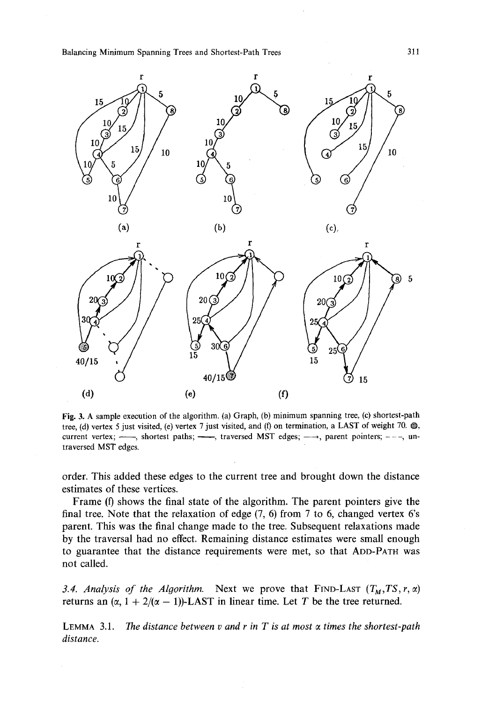

Fig. 3, A sample execution of the algorithm. (a) Graph, (b) minimum spanning tree, (c) shortest-path tree, (d) vertex 5 just visited, (e) vertex 7 just visited, and (f) on termination, a LAST of weight 70. @, current vertex;  $\longrightarrow$ , shortest paths;  $\longrightarrow$ , traversed MST edges;  $\longrightarrow$ , parent pointers; ---, untraversed MST edges.

order. This added these edges to the current tree and brought down the distance estimates of these vertices.

Frame (f) shows the final state of the algorithm. The parent pointers give the final tree. Note that the relaxation of edge  $(7, 6)$  from 7 to 6, changed vertex 6's parent. This was the final change made to the tree. Subsequent relaxations made by the traversal had no effect. Remaining distance estimates were small enough to guarantee that the distance requirements were met, so that ADD-PATH was not called.

3.4. Analysis of the Algorithm. Next we prove that FIND-LAST  $(T_M, TS, r, \alpha)$ returns an  $(\alpha, 1 + 2/(\alpha - 1))$ -LAST in linear time. Let T be the tree returned.

LEMMA 3.1. The distance between v and r in T is at most  $\alpha$  times the shortest-path *distance.*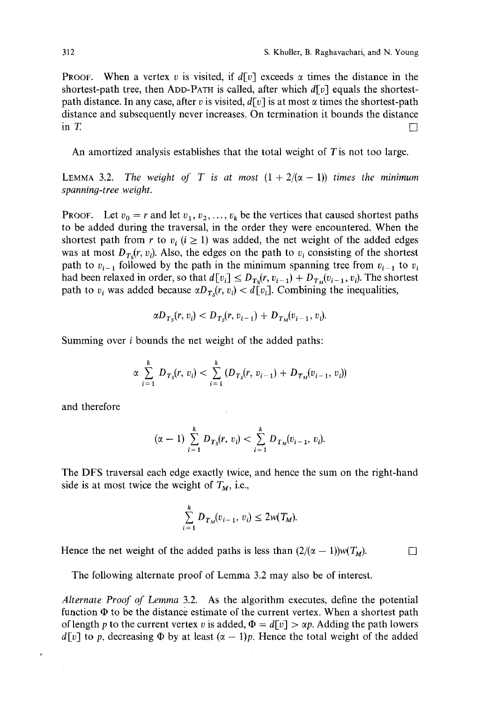**PROOF.** When a vertex v is visited, if  $d[\nu]$  exceeds  $\alpha$  times the distance in the shortest-path tree, then ADD-PATH is called, after which *d[v]* equals the shortestpath distance. In any case, after v is visited,  $d[v]$  is at most  $\alpha$  times the shortest-path distance and subsequently never increases. On termination it bounds the distance in T.

An amortized analysis establishes that the total weight of Tis not too large.

LEMMA 3.2. *The weight of T is at most*  $(1 + 2/(\alpha - 1))$  *times the minimum spanning-tree weight.* 

PROOF. Let  $v_0 = r$  and let  $v_1, v_2, \ldots, v_k$  be the vertices that caused shortest paths to be added during the traversal, in the order they were encountered. When the shortest path from r to  $v_i$  ( $i \ge 1$ ) was added, the net weight of the added edges was at most  $D_{r_s}(r, v_i)$ . Also, the edges on the path to  $v_i$  consisting of the shortest path to  $v_{i-1}$  followed by the path in the minimum spanning tree from  $v_{i-1}$  to  $v_i$ had been relaxed in order, so that  $d[v_i] \leq D_{T_s}(r, v_{i-1}) + D_{T_M}(v_{i-1}, v_i)$ . The shortest path to  $v_i$  was added because  $\alpha D_{Ts}(r, v_i) < d[v_i]$ . Combining the inequalities,

$$
\alpha D_{T_S}(r, v_i) < D_{T_S}(r, v_{i-1}) + D_{T_M}(v_{i-1}, v_i).
$$

Summing over i bounds the net weight of the added paths:

$$
\alpha \sum_{i=1}^{k} D_{T_{S}}(r, v_{i}) < \sum_{i=1}^{k} (D_{T_{S}}(r, v_{i-1}) + D_{T_{M}}(v_{i-1}, v_{i}))
$$

and therefore

ċ

$$
(\alpha - 1) \sum_{i=1}^{k} D_{T_{S}}(r, v_{i}) < \sum_{i=1}^{k} D_{T_{M}}(v_{i-1}, v_{i}).
$$

The DFS traversal each edge exactly twice, and hence the sum on the right-hand side is at most twice the weight of  $T_M$ , i.e.,

$$
\sum_{i=1}^k D_{T_M}(v_{i-1}, v_i) \le 2w(T_M).
$$

Hence the net weight of the added paths is less than  $\left(\frac{2}{(\alpha - 1)}\right)w(T_M)$ .

The following alternate proof of Lemma 3.2 may also be of interest.

*Alternate Proof of Lemma* 3.2. As the algorithm executes, define the potential function @ to be the distance estimate of the current vertex. When a shortest path of length p to the current vertex v is added,  $\Phi = d[v] > \alpha p$ . Adding the path lowers  $d[v]$  to p, decreasing  $\Phi$  by at least  $(\alpha - 1)p$ . Hence the total weight of the added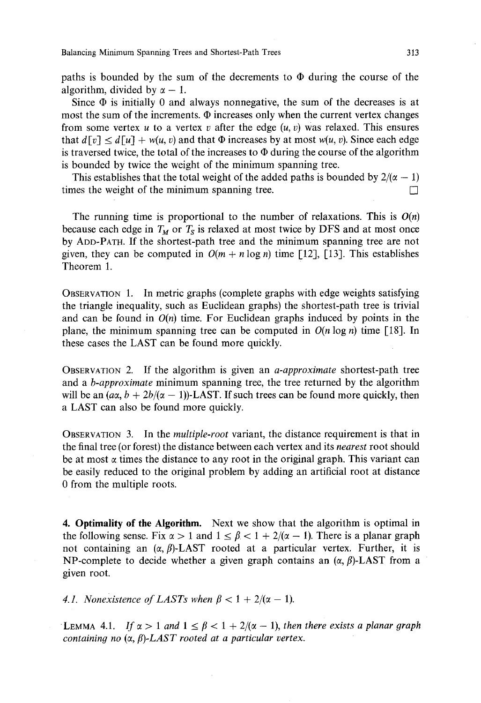paths is bounded by the sum of the decrements to  $\Phi$  during the course of the algorithm, divided by  $\alpha - 1$ .

Since  $\Phi$  is initially 0 and always nonnegative, the sum of the decreases is at most the sum of the increments.  $\Phi$  increases only when the current vertex changes from some vertex u to a vertex v after the edge  $(u, v)$  was relaxed. This ensures that  $d\lceil v \rceil \leq d\lceil u \rceil + w(u, v)$  and that  $\Phi$  increases by at most  $w(u, v)$ . Since each edge is traversed twice, the total of the increases to  $\Phi$  during the course of the algorithm is bounded by twice the weight of the minimum spanning tree.

This establishes that the total weight of the added paths is bounded by  $2/(\alpha - 1)$ times the weight of the minimum spanning tree.  $\Box$ 

The running time is proportional to the number of relaxations. This is  $O(n)$ because each edge in  $T_M$  or  $T_S$  is relaxed at most twice by DFS and at most once by ADD-PATH. If the shortest-path tree and the minimum spanning tree are not given, they can be computed in  $O(m + n \log n)$  time [12], [13]. This establishes Theorem 1.

OBSERVATION 1. In metric graphs (complete graphs with edge weights satisfying the triangle inequality, such as Euclidean graphs) the shortest-path tree is trivial and can be found in  $O(n)$  time. For Euclidean graphs induced by points in the plane, the minimum spanning tree can be computed in  $O(n \log n)$  time [18]. In these cases the LAST can be found more quickly.

OBSERVATION 2. If the algorithm is given an *a-approximate* shortest-path tree and a *b-approximate* minimum spanning tree, the tree returned by the algorithm will be an  $(a\alpha, b + 2b/(\alpha - 1))$ -LAST. If such trees can be found more quickly, then a LAST can also be found more quickly.

OBSERVATION **3. In** the *multiple-root* variant, the distance requirement is that in the final tree (or forest) the distance between each vertex and its *nearest* root should be at most  $\alpha$  times the distance to any root in the original graph. This variant can be easily reduced to the original problem by adding an artificial root at distance 0 from the multiple roots.

4. Optimality of the Algorithm. Next we show that the algorithm is optimal in the following sense. Fix  $\alpha > 1$  and  $1 \leq \beta < 1 + 2/(\alpha - 1)$ . There is a planar graph not containing an  $(\alpha, \beta)$ -LAST rooted at a particular vertex. Further, it is NP-complete to decide whether a given graph contains an  $(\alpha, \beta)$ -LAST from a given root.

4.1. Nonexistence of LASTs when  $\beta < 1 + 2/(\alpha - 1)$ .

LEMMA 4.1. *If*  $\alpha > 1$  and  $1 \leq \beta < 1 + 2/(\alpha - 1)$ , then there exists a planar graph *containing no*  $(\alpha, \beta)$ *-LAST rooted at a particular vertex.*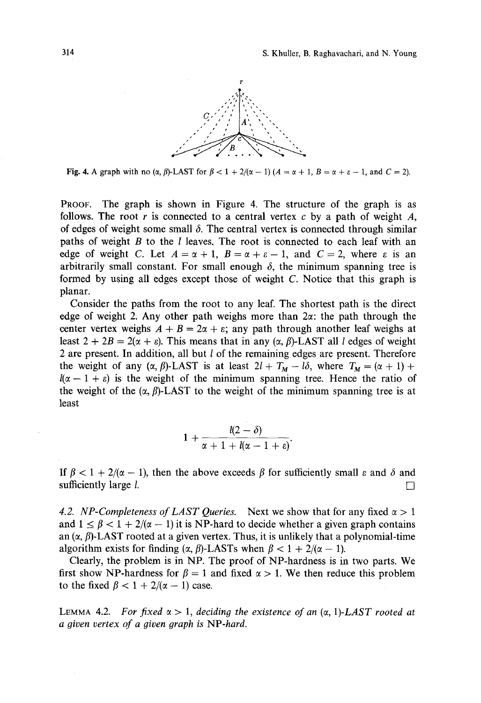

Fig. 4. A graph with no  $(\alpha, \beta)$ -LAST for  $\beta < 1 + 2/(\alpha - 1)$   $(A = \alpha + 1, B = \alpha + \epsilon - 1,$  and  $C = 2)$ .

PROOF. The graph is shown in Figure 4. The structure of the graph is as follows. The root r is connected to a central vertex c by a path of weight  $A$ , of edges of weight some small  $\delta$ . The central vertex is connected through similar paths of weight  $B$  to the  $l$  leaves. The root is connected to each leaf with an edge of weight C. Let  $A = \alpha + 1$ ,  $B = \alpha + \varepsilon - 1$ , and  $C = 2$ , where  $\varepsilon$  is an arbitrarily small constant. For small enough  $\delta$ , the minimum spanning tree is formed by using all edges except those of weight C. Notice that this graph is planar.

Consider the paths from the root to any leaf. The shortest path is the direct edge of weight 2. Any other path weighs more than  $2\alpha$ : the path through the center vertex weighs  $A + B = 2\alpha + \varepsilon$ ; any path through another leaf weighs at least  $2 + 2B = 2(\alpha + \varepsilon)$ . This means that in any  $(\alpha, \beta)$ -LAST all l edges of weight 2 are present. In addition, all but  $l$  of the remaining edges are present. Therefore the weight of any  $(\alpha, \beta)$ -LAST is at least  $2l + T_M - l\delta$ , where  $T_M = (\alpha + 1) +$  $l(\alpha - 1 + \varepsilon)$  is the weight of the minimum spanning tree. Hence the ratio of the weight of the  $(\alpha, \beta)$ -LAST to the weight of the minimum spanning tree is at least

$$
1+\frac{l(2-\delta)}{\alpha+1+l(\alpha-1+\epsilon)}.
$$

If  $\beta < 1 + 2/(\alpha - 1)$ , then the above exceeds  $\beta$  for sufficiently small  $\varepsilon$  and  $\delta$  and sufficiently large  $l$ .

4.2. NP-Completeness of LAST Queries. Next we show that for any fixed  $\alpha > 1$ and  $1 \leq \beta < 1 + 2/(\alpha - 1)$  it is NP-hard to decide whether a given graph contains an  $(\alpha, \beta)$ -LAST rooted at a given vertex. Thus, it is unlikely that a polynomial-time algorithm exists for finding  $(\alpha, \beta)$ -LASTs when  $\beta < 1 + 2/(\alpha - 1)$ .

Clearly, the problem is in NP. The proof of NP-hardness is in two parts. We first show NP-hardness for  $\beta = 1$  and fixed  $\alpha > 1$ . We then reduce this problem to the fixed  $\beta < 1 + 2/(\alpha - 1)$  case.

LEMMA 4.2. *For fixed*  $\alpha > 1$ , deciding the existence of an  $(\alpha, 1)$ -LAST rooted at *a given vertex of a given graph is NP-hard.*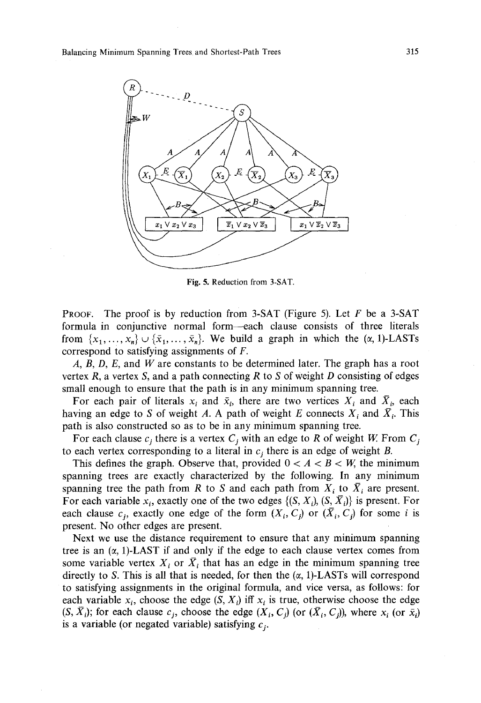

Fig. 5. Reduction from 3-SAT.

**PROOF.** The proof is by reduction from 3-SAT (Figure 5). Let F be a 3-SAT formula in conjunctive normal form--each clause consists of three literals from  $\{x_1, \ldots, x_n\} \cup \{\bar{x}_1, \ldots, \bar{x}_n\}$ . We build a graph in which the  $(\alpha, 1)$ -LASTs correspond to satisfying assignments of F.

 $A, B, D, E$ , and W are constants to be determined later. The graph has a root vertex R, a vertex S, and a path connecting R to S of weight D consisting of edges small enough to ensure that the path is in any minimum spanning tree.

For each pair of literals  $x_i$  and  $\bar{x}_i$ , there are two vertices  $X_i$  and  $\bar{X}_i$ , each having an edge to S of weight A. A path of weight E connects  $X_i$  and  $\bar{X}_i$ . This path is also constructed so as to be in any minimum spanning tree.

For each clause  $c_j$  there is a vertex  $C_j$  with an edge to R of weight W. From  $C_j$ to each vertex corresponding to a literal in  $c_i$  there is an edge of weight B.

This defines the graph. Observe that, provided  $0 < A < B < W$ , the minimum spanning trees are exactly characterized by the following. In any minimum spanning tree the path from R to S and each path from  $X_i$  to  $\overline{X}_i$  are present. For each variable  $x_i$ , exactly one of the two edges  $\{(S, X_i), (S, \overline{X}_i)\}\)$  is present. For each clause  $c_i$ , exactly one edge of the form  $(X_i, C_j)$  or  $(\bar{X}_i, C_j)$  for some i is present. No other edges are present.

Next we use the distance requirement to ensure that any minimum spanning tree is an  $(x, 1)$ -LAST if and only if the edge to each clause vertex comes from some variable vertex  $X_i$  or  $\overline{X}_i$  that has an edge in the minimum spanning tree directly to S. This is all that is needed, for then the  $(\alpha, 1)$ -LASTs will correspond to satisfying assignments in the original formula, and vice versa, as follows: for each variable  $x_i$ , choose the edge  $(S, X_i)$  iff  $x_i$  is true, otherwise choose the edge  $(S, \overline{X}_i)$ ; for each clause  $c_j$ , choose the edge  $(X_i, C_j)$  (or  $(\overline{X}_i, C_j)$ ), where  $x_i$  (or  $\overline{x}_i$ ) is a variable (or negated variable) satisfying *cj.*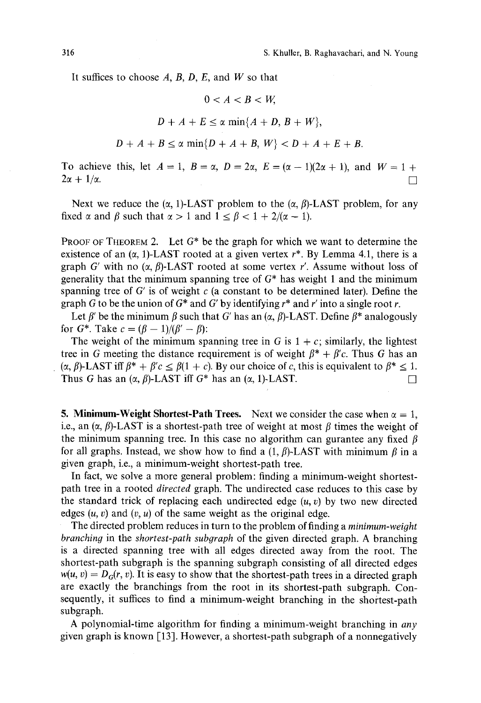It suffices to choose  $A$ ,  $B$ ,  $D$ ,  $E$ , and  $W$  so that

$$
0 < A < B < W,
$$
\n
$$
D + A + E \le \alpha \min\{A + D, B + W\},
$$
\n
$$
D + A + B \le \alpha \min\{D + A + B, W\} < D + A + E + B.
$$

To achieve this, let  $A = 1$ ,  $B = \alpha$ ,  $D = 2\alpha$ ,  $E = (\alpha - 1)(2\alpha + 1)$ , and  $W = 1 + \alpha$  $2\alpha$  +  $1/\alpha$ .

Next we reduce the  $(\alpha, 1)$ -LAST problem to the  $(\alpha, \beta)$ -LAST problem, for any fixed  $\alpha$  and  $\beta$  such that  $\alpha > 1$  and  $1 \leq \beta < 1 + 2/(\alpha - 1)$ .

**PROOF OF THEOREM 2.** Let  $G^*$  be the graph for which we want to determine the existence of an  $(\alpha, 1)$ -LAST rooted at a given vertex r<sup>\*</sup>. By Lemma 4.1, there is a graph G' with no  $(\alpha, \beta)$ -LAST rooted at some vertex r'. Assume without loss of generality that the minimum spanning tree of  $G^*$  has weight 1 and the minimum spanning tree of  $G'$  is of weight c (a constant to be determined later). Define the graph G to be the union of  $G^*$  and G' by identifying  $r^*$  and r' into a single root r.

Let  $\beta'$  be the minimum  $\beta$  such that G' has an ( $\alpha$ ,  $\beta$ )-LAST. Define  $\beta^*$  analogously for  $G^*$ . Take  $c = (\beta - 1)/(\beta' - \beta)$ :

The weight of the minimum spanning tree in G is  $1 + c$ ; similarly, the lightest tree in G meeting the distance requirement is of weight  $\beta^* + \beta'$ . Thus G has an  $(\alpha, \beta)$ -LAST iff  $\beta^* + \beta'c \leq \beta(1 + c)$ . By our choice of c, this is equivalent to  $\beta^* \leq 1$ . Thus G has an  $(\alpha, \beta)$ -LAST iff G\* has an  $(\alpha, 1)$ -LAST.

**5. Minimum-Weight Shortest-Path Trees.** Next we consider the case when  $\alpha = 1$ , i.e., an  $(\alpha, \beta)$ -LAST is a shortest-path tree of weight at most  $\beta$  times the weight of the minimum spanning tree. In this case no algorithm can gurantee any fixed  $\beta$ for all graphs. Instead, we show how to find a  $(1, \beta)$ -LAST with minimum  $\beta$  in a given graph, i.e., a minimum-weight shortest-path tree.

In fact, we solve a more general problem: finding a minimum-weight shortestpath tree in a rooted *directed* graph. The undirected case reduces to this case by the standard trick of replacing each undirected edge  $(u, v)$  by two new directed edges  $(u, v)$  and  $(v, u)$  of the same weight as the original edge.

The directed problem reduces in turn to the problem of finding a *minimum-weight branching* in the *shortest-path subgraph* of the given directed graph. A branching is a directed spanning tree with all edges directed away from the root. The shortest-path subgraph is the spanning subgraph consisting of all directed edges  $w(u, v) = D_G(r, v)$ . It is easy to show that the shortest-path trees in a directed graph are exactly the branchings from the root in its shortest-path subgraph. Consequently, it suffices to find a minimum-weight branching in the shortest-path subgraph.

A polynomial-time algorithm for finding a minimum-weight branching in *any*  given graph is known [13]. However, a shortest-path subgraph of a nonnegatively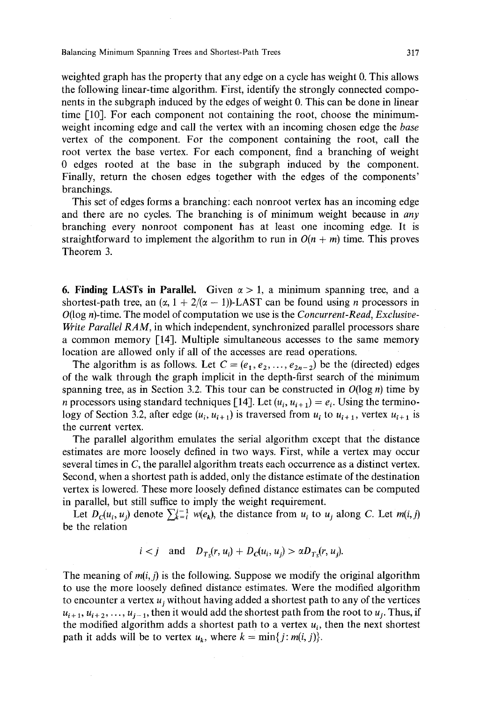weighted graph has the property that any edge on a cycle has weight 0. This allows the following linear-time algorithm. First, identify the strongly connected components in the subgraph induced by the edges of weight 0. This can be done in linear time [10]. For each component not containing the root, choose the minimumweight incoming edge and call the vertex with an incoming chosen edge the *base*  vertex of the component. For the component containing the root, call the root vertex the base vertex. For each component, find a branching of weight 0 edges rooted at the base in the subgraph induced by the component. Finally, return the chosen edges together with the edges of the components' branchings.

This set of edges forms a branching: each nonroot vertex has an incoming edge and there are no cycles. The branching is of minimum weight because in *any*  branching every nonroot component has at least one incoming edge. It is straightforward to implement the algorithm to run in  $O(n + m)$  time. This proves Theorem 3.

6. Finding LASTs in Parallel. Given  $\alpha > 1$ , a minimum spanning tree, and a shortest-path tree, an  $(\alpha, 1 + 2/(\alpha - 1))$ -LAST can be found using *n* processors in O(log n)-time. The model of computation we use is the *Concurrent-Read, Exclusive-Write Parallel RAM*, in which independent, synchronized parallel processors share a common memory [14]. Multiple simultaneous accesses to the same memory location are allowed only if all of the accesses are read operations.

The algorithm is as follows. Let  $C = (e_1, e_2, \dots, e_{2n-2})$  be the (directed) edges of the walk through the graph implicit in the depth-first search of the minimum spanning tree, as in Section 3.2. This tour can be constructed in  $O(\log n)$  time by *n* processors using standard techniques [14]. Let  $(u_i, u_{i+1}) = e_i$ . Using the terminology of Section 3.2, after edge  $(u_i, u_{i+1})$  is traversed from  $u_i$  to  $u_{i+1}$ , vertex  $u_{i+1}$  is the current vertex.

The parallel algorithm emulates the serial algorithm except that the distance estimates are more loosely defined in two ways. First, while a vertex may occur several times in  $C$ , the parallel algorithm treats each occurrence as a distinct vertex. Second, when a shortest path is added, only the distance estimate of the destination vertex is lowered. These more loosely defined distance estimates can be computed in parallel, but still suffice to imply the weight requirement.

Let  $D_c(u_i, u_j)$  denote  $\sum_{k=1}^{j-1} w(e_k)$ , the distance from  $u_i$  to  $u_j$  along C. Let  $m(i, j)$ be the relation

$$
i < j \quad \text{and} \quad D_{T_S}(r, u_i) + D_C(u_i, u_j) > \alpha D_{T_S}(r, u_j).
$$

The meaning of  $m(i, j)$  is the following. Suppose we modify the original algorithm to use the more loosely defined distance estimates. Were the modified algorithm to encounter a vertex  $u_i$ , without having added a shortest path to any of the vertices  $u_{i+1}, u_{i+2}, \ldots, u_{i-1}$ , then it would add the shortest path from the root to  $u_i$ . Thus, if the modified algorithm adds a shortest path to a vertex  $u_i$ , then the next shortest path it adds will be to vertex  $u_k$ , where  $k = \min\{j : m(i, j)\}.$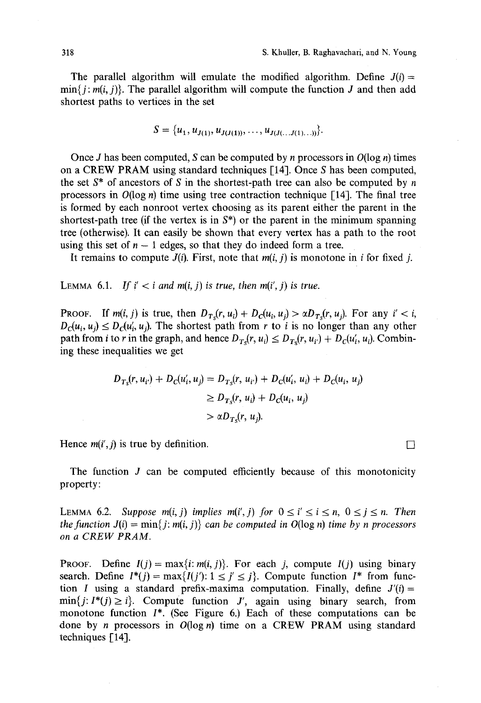The parallel algorithm will emulate the modified algorithm. Define  $J(i)$  =  $min\{j: m(i, j)\}\)$ . The parallel algorithm will compute the function J and then add shortest paths to vertices in the set

$$
S = \{u_1, u_{J(1)}, u_{J(J(1))}, \ldots, u_{J(J(\ldots, J(1), \ldots))}\}.
$$

Once J has been computed, S can be computed by *n* processors in  $O(\log n)$  times on a CREW PRAM using standard techniques [14]. Once S has been computed, the set  $S^*$  of ancestors of S in the shortest-path tree can also be computed by n processors in  $O(\log n)$  time using tree contraction technique [14]. The final tree is formed by each nonroot vertex choosing as its parent either the parent in the shortest-path tree (if the vertex is in  $S^*$ ) or the parent in the minimum spanning tree (otherwise). It can easily be shown that every vertex has a path to the root using this set of  $n - 1$  edges, so that they do indeed form a tree.

It remains to compute  $J(i)$ . First, note that  $m(i, j)$  is monotone in i for fixed j.

LEMMA 6.1. *If i'*  $\lt$  *i* and m(*i*, *j*) is true, then m(*i'*, *j*) is true.

**PROOF.** If  $m(i, j)$  is true, then  $D_{T_s}(r, u_i) + D_c(u_i, u_j) > \alpha D_{T_s}(r, u_j)$ . For any  $i' < i$ ,  $D_c(u_i, u_j) \leq D_c(u'_i, u_j)$ . The shortest path from r to i is no longer than any other path from *i* to *r* in the graph, and hence  $D_{T_s}(r, u_i) \leq D_{T_s}(r, u_i) + D_c(u_i', u_i)$ . Combining these inequalities we get

$$
D_{T_s}(r, u_{i'}) + D_C(u'_{i}, u_{j}) = D_{T_s}(r, u_{i'}) + D_C(u'_{i}, u_{j}) + D_C(u_{i}, u_{j})
$$
  
\n
$$
\geq D_{T_s}(r, u_{i}) + D_C(u_{i}, u_{j})
$$
  
\n
$$
> \alpha D_{T_s}(r, u_{j}).
$$

Hence  $m(i', j)$  is true by definition.

The function  $J$  can be computed efficiently because of this monotonicity property:

LEMMA 6.2. *Suppose m(i, j) implies m(i', j) for*  $0 \le i' \le i \le n$ ,  $0 \le j \le n$ . Then *the function*  $J(i) = min\{j : m(i, j)\}$  *can be computed in O(log n) time by n processors on a CREW PRAM.* 

**PROOF.** Define  $I(j) = \max\{i : m(i, j)\}$ . For each j, compute  $I(j)$  using binary search. Define  $I^*(j) = \max\{I(j') : 1 \leq j' \leq j\}$ . Compute function  $I^*$  from function *I* using a standard prefix-maxima computation. Finally, define  $J'(i)$  =  $\min\{j: I^*(j) \ge i\}$ . Compute function J', again using binary search, from monotone function  $I^*$ . (See Figure 6.) Each of these computations can be done by *n* processors in  $O(\log n)$  time on a CREW PRAM using standard techniques [14].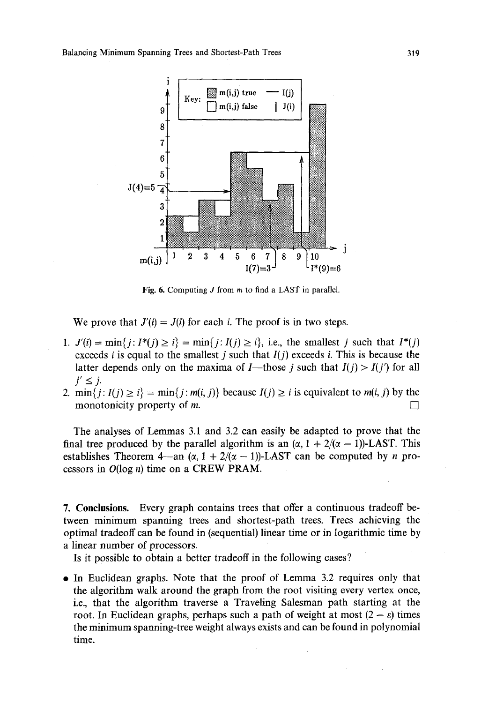

Fig. 6. Computing J from m to find a LAST in parallel.

We prove that  $J'(i) = J(i)$  for each *i*. The proof is in two steps.

- 1.  $J'(i) = \min\{j: I^*(j) \ge i\} = \min\{j: I(j) \ge i\}$ , i.e., the smallest j such that  $I^*(j)$ exceeds *i* is equal to the smallest *j* such that  $I(j)$  exceeds *i*. This is because the latter depends only on the maxima of *I*—those *i* such that  $I(i) > I(i')$  for all  $j' \leq j$ .
- 2. min{j:  $I(j) \ge i$ } = min{j: *m*(i, j)} because  $I(j) \ge i$  is equivalent to *m*(i, j) by the monotonicity property of  $m$ .

The analyses of Lemmas 3.1 and 3.2 can easily be adapted to prove that the final tree produced by the parallel algorithm is an  $(\alpha, 1 + 2/(\alpha - 1))$ -LAST. This establishes Theorem 4—an  $(\alpha, 1 + 2/(\alpha - 1))$ -LAST can be computed by *n* processors in  $O(\log n)$  time on a CREW PRAM.

7. Conclusions. Every graph contains trees that offer a continuous tradeoff between minimum spanning trees and shortest-path trees. Trees achieving the optimal tradeoff can be found in (sequential) linear time or in logarithmic time by a linear number of processors.

Is it possible to obtain a better tradeoff in the following cases?

9 In Euclidean graphs. Note that the proof of Lemma 3.2 requires only that the algorithm walk around the graph from the root visiting every vertex once, i.e., that the algorithm traverse a Traveling Salesman path starting at the root. In Euclidean graphs, perhaps such a path of weight at most  $(2 - \varepsilon)$  times the minimum spanning-tree weight always exists and can be found in polynomial time.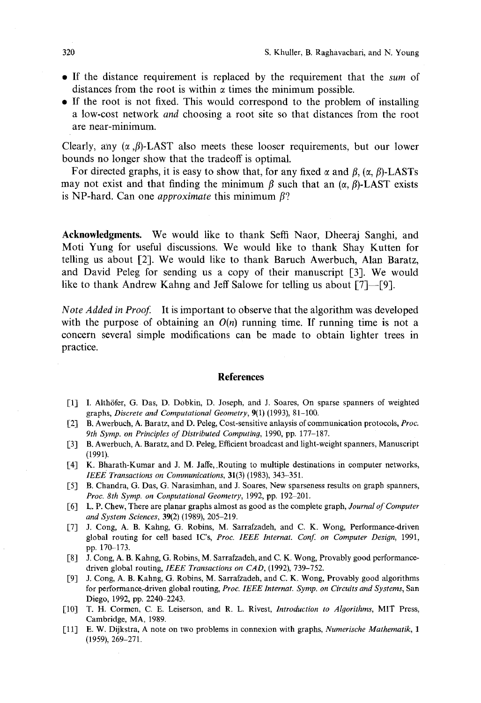- 9 If the distance requirement is replaced by the requirement that the *sum* of distances from the root is within  $\alpha$  times the minimum possible.
- 9 If the root is not fixed. This would correspond to the problem of installing a low-cost network *and* choosing a root site so that distances from the root are near-minimum.

Clearly, any  $(\alpha, \beta)$ -LAST also meets these looser requirements, but our lower bounds no longer show that the tradeoff is optimal.

For directed graphs, it is easy to show that, for any fixed  $\alpha$  and  $\beta$ , ( $\alpha$ ,  $\beta$ )-LASTs may not exist and that finding the minimum  $\beta$  such that an  $(\alpha, \beta)$ -LAST exists is NP-hard. Can one *approximate* this minimum  $\beta$ ?

**Acknowledgments.** We would like to thank Seffi Naor, Dheeraj Sanghi, and Moti Yung for useful discussions. We would like to thank Shay Kutten for telling us about [2]. We would like to thank Baruch Awerbuch, Alan Baratz, and David Peleg for sending us a copy of their manuscript [3]. We would like to thank Andrew Kahng and Jeff Salowe for telling us about  $[7]$ -[9].

*Note Added in Proof.* It is important to observe that the algorithm was developed with the purpose of obtaining an  $O(n)$  running time. If running time is not a concern several simple modifications can be made to obtain lighter trees in practice.

## **References**

- [1] I. Althöfer, G. Das, D. Dobkin, D. Joseph, and J. Soares, On sparse spanners of weighted graphs, *Discrete and Computational Geometry,* 9(1) (1993), 81-100.
- [2] B. Awerbuch, A. Baratz, and D. Peleg, Cost-sensitive anlaysis of communication protocols, *Proe. 9th Symp. on Principles of Distributed Computing,* 1990, pp. 177-187.
- [3] B. Awerbuch, A. Baratz, and D. Peleg, Efficient broadcast and light-weight spanners, Manuscript (1991).
- [4] K. Bharath-Kumar and J. M. Jaffe, Routing to multiple destinations in computer networks, *IEEE Transactions on Communications,* 31(3) (1983), 343-351.
- [5] B. Chandra, G. Das, G. Narasimhan, and J. Soares, New sparseness results on graph spanners, *Proc. 8th Symp. on Conputational Geometry, 1992, pp. 192-201.*
- [-6] L.P. Chew, There are planar graphs almost as good as the complete graph, *Journal of Computer and System Sciences,* 39(2) (1989), 205-219.
- [7] J. Cong, A. B. Kahng, G. Robins, M. Sarrafzadeh, and C. K. Wong, Performance-driven global routing for cell based IC's, *Proc. IEEE Internat. Conf. on Computer Design,* 1991, pp. 170-173.
- I-8] J. Cong, A. B. Kahng, G. Robins, M. Sarrafzadeh, and C. K. Wong, Provably good performancedriven global routing, *IEEE Transactions on CAD,* (1992), 739-752.
- [9] J. Cong, A. B. Kahng, G. Robins, M. Sarrafzadeh, and C. K. Wong, Provably good algorithms for performance-driven global routing, *Proc. IEEE Internat. Symp. on Circuits and Systems*, San Diego, 1992, pp. 2240-2243.
- [10] T. H. Cormen, C. E. Leiserson, and R. L. Rivest, *Introduction to Algorithms,* MIT Press, Cambridge, MA, 1989.
- [-11] E.W. Dijkstra, A note on two problems in connexion with graphs, *Numerische Mathematik, 1*  (1959), 269-271.